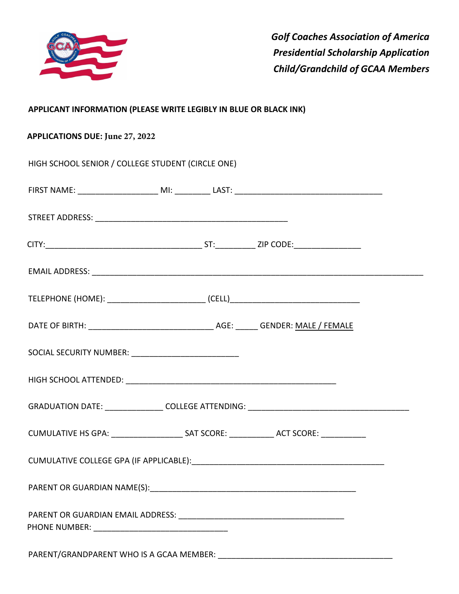

*Golf Coaches Association of America Presidential Scholarship Application Child/Grandchild of GCAA Members* 

## **APPLICANT INFORMATION (PLEASE WRITE LEGIBLY IN BLUE OR BLACK INK)**

## **APPLICATIONS DUE: June 27, 2022**

| HIGH SCHOOL SENIOR / COLLEGE STUDENT (CIRCLE ONE)       |  |  |
|---------------------------------------------------------|--|--|
|                                                         |  |  |
|                                                         |  |  |
|                                                         |  |  |
|                                                         |  |  |
|                                                         |  |  |
|                                                         |  |  |
| SOCIAL SECURITY NUMBER: _______________________________ |  |  |
|                                                         |  |  |
|                                                         |  |  |
|                                                         |  |  |
|                                                         |  |  |
|                                                         |  |  |
|                                                         |  |  |
|                                                         |  |  |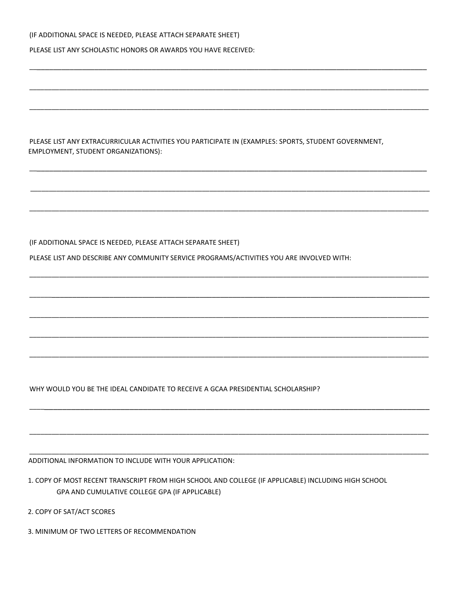(IF ADDITIONAL SPACE IS NEEDED, PLEASE ATTACH SEPARATE SHEET)

PLEASE LIST ANY SCHOLASTIC HONORS OR AWARDS YOU HAVE RECEIVED:

PLEASE LIST ANY EXTRACURRICULAR ACTIVITIES YOU PARTICIPATE IN (EXAMPLES: SPORTS, STUDENT GOVERNMENT, EMPLOYMENT, STUDENT ORGANIZATIONS):

\_\_\_\_\_\_\_\_\_\_\_\_\_\_\_\_\_\_\_\_\_\_\_\_\_\_\_\_\_\_\_\_\_\_\_\_\_\_\_\_\_\_\_\_\_\_\_\_\_\_\_\_\_\_\_\_\_\_\_\_\_\_\_\_\_\_\_\_\_\_\_\_\_\_\_\_\_\_\_\_\_\_\_\_\_\_\_\_\_\_\_\_\_\_\_\_\_

\_\_\_\_\_\_\_\_\_\_\_\_\_\_\_\_\_\_\_\_\_\_\_\_\_\_\_\_\_\_\_\_\_\_\_\_\_\_\_\_\_\_\_\_\_\_\_\_\_\_\_\_\_\_\_\_\_\_\_\_\_\_\_\_\_\_\_\_\_\_\_\_\_\_\_\_\_\_\_\_\_\_\_\_\_\_\_\_\_\_\_\_\_\_\_\_\_\_\_\_\_\_\_\_\_\_\_

\_\_\_\_\_\_\_\_\_\_\_\_\_\_\_\_\_\_\_\_\_\_\_\_\_\_\_\_\_\_\_\_\_\_\_\_\_\_\_\_\_\_\_\_\_\_\_\_\_\_\_\_\_\_\_\_\_\_\_\_\_\_\_\_\_\_\_\_\_\_\_\_\_\_\_\_\_\_\_\_\_\_\_\_\_\_\_\_\_\_\_\_\_\_\_\_\_\_\_\_\_\_\_\_\_\_\_

\_\_\_\_\_\_\_\_\_\_\_\_\_\_\_\_\_\_\_\_\_\_\_\_\_\_\_\_\_\_\_\_\_\_\_\_\_\_\_\_\_\_\_\_\_\_\_\_\_\_\_\_\_\_\_\_\_\_\_\_\_\_\_\_\_\_\_\_\_\_\_\_\_\_\_\_\_\_\_\_\_\_\_\_\_\_\_\_\_\_\_\_\_\_\_\_\_

\_\_\_\_\_\_\_\_\_\_\_\_\_\_\_\_\_\_\_\_\_\_\_\_\_\_\_\_\_\_\_\_\_\_\_\_\_\_\_\_\_\_\_\_\_\_\_\_\_\_\_\_\_\_\_\_\_\_\_\_\_\_\_\_\_\_\_\_\_\_\_\_\_\_\_\_\_\_\_\_\_\_\_\_\_\_\_\_\_\_\_\_\_\_\_\_\_\_\_\_\_\_\_\_\_\_\_

\_\_\_\_\_\_\_\_\_\_\_\_\_\_\_\_\_\_\_\_\_\_\_\_\_\_\_\_\_\_\_\_\_\_\_\_\_\_\_\_\_\_\_\_\_\_\_\_\_\_\_\_\_\_\_\_\_\_\_\_\_\_\_\_\_\_\_\_\_\_\_\_\_\_\_\_\_\_\_\_\_\_\_\_\_\_\_\_\_\_\_\_\_\_\_\_\_\_\_\_\_\_\_\_\_\_\_

\_\_\_\_\_\_\_\_\_\_\_\_\_\_\_\_\_\_\_\_\_\_\_\_\_\_\_\_\_\_\_\_\_\_\_\_\_\_\_\_\_\_\_\_\_\_\_\_\_\_\_\_\_\_\_\_\_\_\_\_\_\_\_\_\_\_\_\_\_\_\_\_\_\_\_\_\_\_\_\_\_\_\_\_\_\_\_\_\_\_\_\_\_\_\_\_\_\_\_\_\_\_\_\_\_\_\_

\_\_\_\_\_\_\_\_\_\_\_\_\_\_\_\_\_\_\_\_\_\_\_\_\_\_\_\_\_\_\_\_\_\_\_\_\_\_\_\_\_\_\_\_\_\_\_\_\_\_\_\_\_\_\_\_\_\_\_\_\_\_\_\_\_\_\_\_\_\_\_\_\_\_\_\_\_\_\_\_\_\_\_\_\_\_\_\_\_\_\_\_\_\_\_\_\_\_

\_\_\_\_\_\_\_\_\_\_\_\_\_\_\_\_\_\_\_\_\_\_\_\_\_\_\_\_\_\_\_\_\_\_\_\_\_\_\_\_\_\_\_\_\_\_\_\_\_\_\_\_\_\_\_\_\_\_\_\_\_\_\_\_\_\_\_\_\_\_\_\_\_\_\_\_\_\_\_\_\_\_\_\_\_\_\_\_\_\_\_\_\_\_\_\_\_\_\_\_\_\_\_\_\_\_\_

\_\_\_\_\_\_\_\_\_\_\_\_\_\_\_\_\_\_\_\_\_\_\_\_\_\_\_\_\_\_\_\_\_\_\_\_\_\_\_\_\_\_\_\_\_\_\_\_\_\_\_\_\_\_\_\_\_\_\_\_\_\_\_\_\_\_\_\_\_\_\_\_\_\_\_\_\_\_\_\_\_\_\_\_\_\_\_\_\_\_\_\_\_\_\_\_\_\_\_\_\_\_\_\_\_\_\_

\_\_\_\_\_\_\_\_\_\_\_\_\_\_\_\_\_\_\_\_\_\_\_\_\_\_\_\_\_\_\_\_\_\_\_\_\_\_\_\_\_\_\_\_\_\_\_\_\_\_\_\_\_\_\_\_\_\_\_\_\_\_\_\_\_\_\_\_\_\_\_\_\_\_\_\_\_\_\_\_\_\_\_\_\_\_\_\_\_\_\_\_\_\_\_\_\_\_\_\_\_\_\_\_\_\_\_

\_\_\_\_\_\_\_\_\_\_\_\_\_\_\_\_\_\_\_\_\_\_\_\_\_\_\_\_\_\_\_\_\_\_\_\_\_\_\_\_\_\_\_\_\_\_\_\_\_\_\_\_\_\_\_\_\_\_\_\_\_\_\_\_\_\_\_\_\_\_\_\_\_\_\_\_\_\_\_\_\_\_\_\_\_\_\_\_\_\_

\_\_\_\_\_\_\_\_\_\_\_\_\_\_\_\_\_\_\_\_\_\_\_\_\_\_\_\_\_\_\_\_\_\_\_\_\_\_\_\_\_\_\_\_\_\_\_\_\_\_\_\_\_\_\_\_\_\_\_\_\_\_\_\_\_\_\_\_\_\_\_\_\_\_\_\_\_\_\_\_\_\_\_\_\_\_\_\_\_\_\_\_\_\_\_\_\_\_\_\_\_\_\_\_\_\_\_

\_\_\_\_\_\_\_\_\_\_\_\_\_\_\_\_\_\_\_\_\_\_\_\_\_\_\_\_\_\_\_\_\_\_\_\_\_\_\_\_\_\_\_\_\_\_\_\_\_\_\_\_\_\_\_\_\_\_\_\_\_\_\_\_\_\_\_\_\_\_\_\_\_\_\_\_\_\_\_\_\_\_\_\_\_\_\_\_\_\_\_\_\_\_\_\_\_\_\_\_\_\_\_\_\_\_\_

(IF ADDITIONAL SPACE IS NEEDED, PLEASE ATTACH SEPARATE SHEET)

PLEASE LIST AND DESCRIBE ANY COMMUNITY SERVICE PROGRAMS/ACTIVITIES YOU ARE INVOLVED WITH:

WHY WOULD YOU BE THE IDEAL CANDIDATE TO RECEIVE A GCAA PRESIDENTIAL SCHOLARSHIP?

ADDITIONAL INFORMATION TO INCLUDE WITH YOUR APPLICATION:

1. COPY OF MOST RECENT TRANSCRIPT FROM HIGH SCHOOL AND COLLEGE (IF APPLICABLE) INCLUDING HIGH SCHOOL GPA AND CUMULATIVE COLLEGE GPA (IF APPLICABLE)

2. COPY OF SAT/ACT SCORES

3. MINIMUM OF TWO LETTERS OF RECOMMENDATION